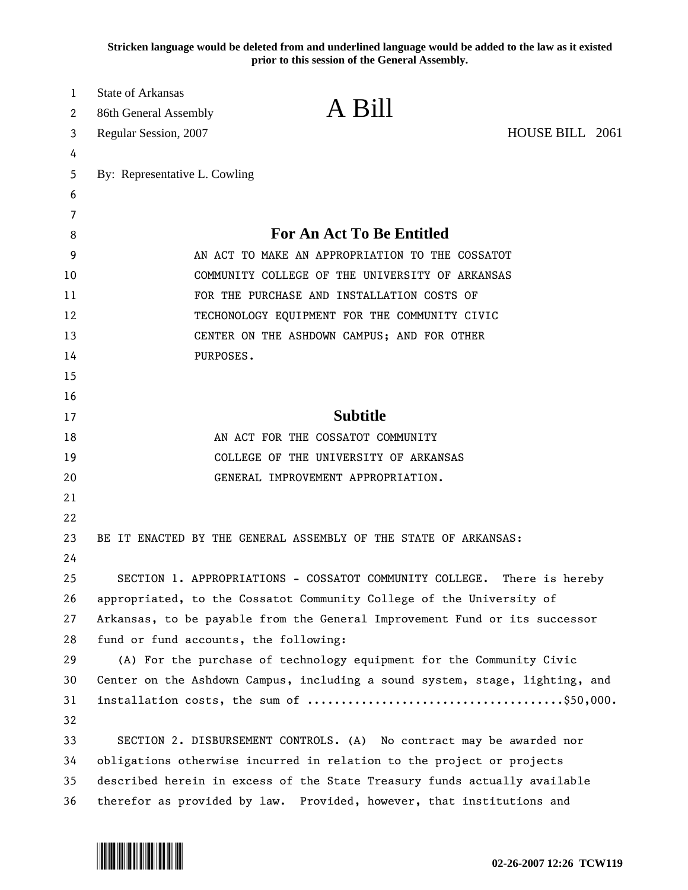**Stricken language would be deleted from and underlined language would be added to the law as it existed prior to this session of the General Assembly.**

| 1<br>2 | <b>State of Arkansas</b>                                                                                                                           | A Bill                                      |                 |  |
|--------|----------------------------------------------------------------------------------------------------------------------------------------------------|---------------------------------------------|-----------------|--|
|        | 86th General Assembly                                                                                                                              |                                             | HOUSE BILL 2061 |  |
| 3      | Regular Session, 2007                                                                                                                              |                                             |                 |  |
| 4<br>5 | By: Representative L. Cowling                                                                                                                      |                                             |                 |  |
| 6      |                                                                                                                                                    |                                             |                 |  |
| 7      |                                                                                                                                                    |                                             |                 |  |
| 8      |                                                                                                                                                    | <b>For An Act To Be Entitled</b>            |                 |  |
| 9      | AN ACT TO MAKE AN APPROPRIATION TO THE COSSATOT                                                                                                    |                                             |                 |  |
| 10     | COMMUNITY COLLEGE OF THE UNIVERSITY OF ARKANSAS                                                                                                    |                                             |                 |  |
| 11     |                                                                                                                                                    | FOR THE PURCHASE AND INSTALLATION COSTS OF  |                 |  |
| 12     | TECHONOLOGY EQUIPMENT FOR THE COMMUNITY CIVIC                                                                                                      |                                             |                 |  |
| 13     |                                                                                                                                                    | CENTER ON THE ASHDOWN CAMPUS; AND FOR OTHER |                 |  |
| 14     | PURPOSES.                                                                                                                                          |                                             |                 |  |
| 15     |                                                                                                                                                    |                                             |                 |  |
| 16     |                                                                                                                                                    |                                             |                 |  |
| 17     | <b>Subtitle</b>                                                                                                                                    |                                             |                 |  |
| 18     | AN ACT FOR THE COSSATOT COMMUNITY                                                                                                                  |                                             |                 |  |
| 19     | COLLEGE OF THE UNIVERSITY OF ARKANSAS                                                                                                              |                                             |                 |  |
| 20     | GENERAL IMPROVEMENT APPROPRIATION.                                                                                                                 |                                             |                 |  |
| 21     |                                                                                                                                                    |                                             |                 |  |
| 22     |                                                                                                                                                    |                                             |                 |  |
| 23     | BE IT ENACTED BY THE GENERAL ASSEMBLY OF THE STATE OF ARKANSAS:                                                                                    |                                             |                 |  |
| 24     |                                                                                                                                                    |                                             |                 |  |
| 25     | SECTION 1. APPROPRIATIONS - COSSATOT COMMUNITY COLLEGE.<br>There is hereby                                                                         |                                             |                 |  |
| 26     | appropriated, to the Cossatot Community College of the University of                                                                               |                                             |                 |  |
| 27     | Arkansas, to be payable from the General Improvement Fund or its successor                                                                         |                                             |                 |  |
| 28     | fund or fund accounts, the following:                                                                                                              |                                             |                 |  |
| 29     | (A) For the purchase of technology equipment for the Community Civic                                                                               |                                             |                 |  |
| 30     | Center on the Ashdown Campus, including a sound system, stage, lighting, and                                                                       |                                             |                 |  |
| 31     |                                                                                                                                                    |                                             |                 |  |
| 32     |                                                                                                                                                    |                                             |                 |  |
| 33     | SECTION 2. DISBURSEMENT CONTROLS. (A) No contract may be awarded nor                                                                               |                                             |                 |  |
| 34     | obligations otherwise incurred in relation to the project or projects                                                                              |                                             |                 |  |
| 35     | described herein in excess of the State Treasury funds actually available<br>therefor as provided by law. Provided, however, that institutions and |                                             |                 |  |
| 36     |                                                                                                                                                    |                                             |                 |  |